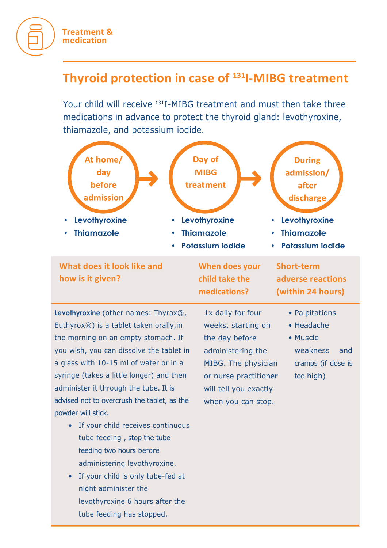## **Treatment & medication**

## **Thyroid protection in case of 131I-MIBG treatment**

Your child will receive 131I-MIBG treatment and must then take three medications in advance to protect the thyroid gland: levothyroxine, thiamazole, and potassium iodide.



- If your child receives continuous tube feeding , stop the tube feeding two hours before administering levothyroxine.
- If your child is only tube-fed at night administer the levothyroxine 6 hours after the tube feeding has stopped.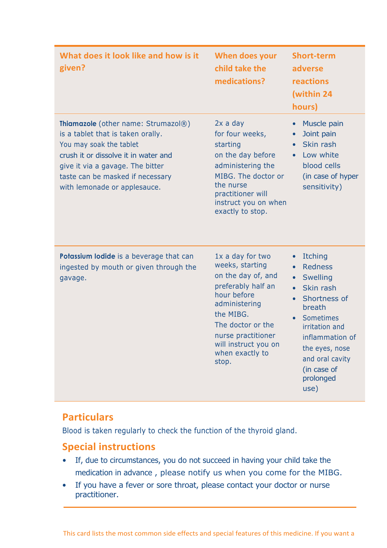| What does it look like and how is it<br>given?                                                                                                                                                                                                      | When does your<br>child take the<br>medications?                                                                                                                                                                            | <b>Short-term</b><br>adverse<br>reactions<br>(within 24<br>hours)                                                                                                                                                                         |
|-----------------------------------------------------------------------------------------------------------------------------------------------------------------------------------------------------------------------------------------------------|-----------------------------------------------------------------------------------------------------------------------------------------------------------------------------------------------------------------------------|-------------------------------------------------------------------------------------------------------------------------------------------------------------------------------------------------------------------------------------------|
| Thiamazole (other name: Strumazol®)<br>is a tablet that is taken orally.<br>You may soak the tablet<br>crush it or dissolve it in water and<br>give it via a gavage. The bitter<br>taste can be masked if necessary<br>with lemonade or applesauce. | $2x$ a day<br>for four weeks,<br>starting<br>on the day before<br>administering the<br>MIBG. The doctor or<br>the nurse<br>practitioner will<br>instruct you on when<br>exactly to stop.                                    | Muscle pain<br>Joint pain<br>Skin rash<br>Low white<br>$\bullet$<br>blood cells<br>(in case of hyper<br>sensitivity)                                                                                                                      |
| Potassium lodide is a beverage that can<br>ingested by mouth or given through the<br>gavage.                                                                                                                                                        | 1x a day for two<br>weeks, starting<br>on the day of, and<br>preferably half an<br>hour before<br>administering<br>the MIBG.<br>The doctor or the<br>nurse practitioner<br>will instruct you on<br>when exactly to<br>stop. | <b>Itching</b><br><b>Redness</b><br><b>Swelling</b><br>Skin rash<br>$\bullet$<br>Shortness of<br>breath<br><b>Sometimes</b><br>irritation and<br>inflammation of<br>the eyes, nose<br>and oral cavity<br>(in case of<br>prolonged<br>use) |

## **Particulars**

Blood is taken regularly to check the function of the thyroid gland.

## **Special instructions**

- If, due to circumstances, you do not succeed in having your child take the medication in advance , please notify us when you come for the MIBG.
- If you have a fever or sore throat, please contact your doctor or nurse practitioner.